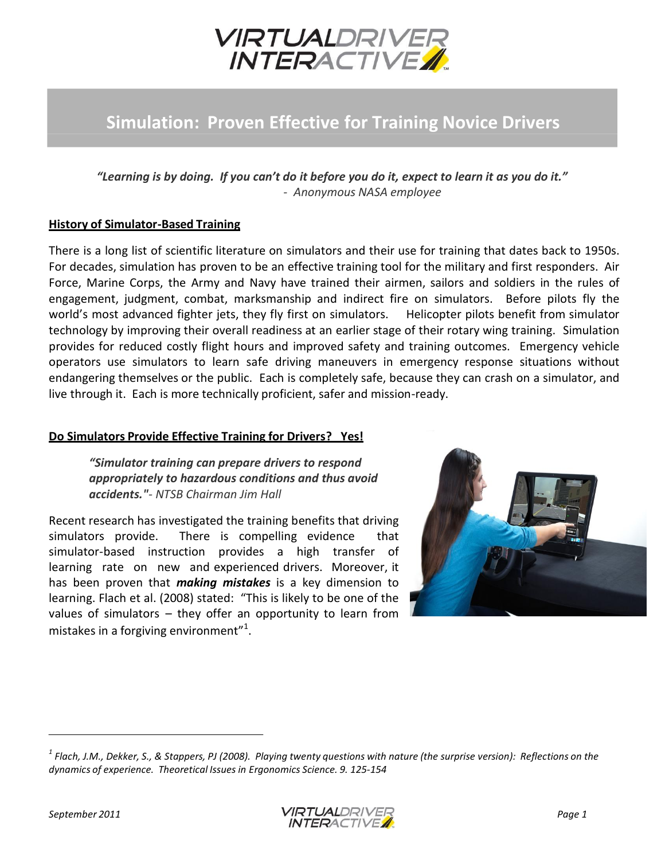

## **Simulation: Proven Effective for Training Novice Drivers**

*"Learning is by doing. If you can't do it before you do it, expect to learn it as you do it." - Anonymous NASA employee*

## **History of Simulator-Based Training**

There is a long list of scientific literature on simulators and their use for training that dates back to 1950s. For decades, simulation has proven to be an effective training tool for the military and first responders. Air Force, Marine Corps, the Army and Navy have trained their airmen, sailors and soldiers in the rules of engagement, judgment, combat, marksmanship and indirect fire on simulators. Before pilots fly the world's most advanced fighter jets, they fly first on simulators. Helicopter pilots benefit from simulator technology by improving their overall readiness at an earlier stage of their rotary wing training. Simulation provides for reduced costly flight hours and improved safety and training outcomes. Emergency vehicle operators use simulators to learn safe driving maneuvers in emergency response situations without endangering themselves or the public. Each is completely safe, because they can crash on a simulator, and live through it. Each is more technically proficient, safer and mission-ready.

## **Do Simulators Provide Effective Training for Drivers? Yes!**

*"Simulator training can prepare drivers to respond appropriately to hazardous conditions and thus avoid accidents."- NTSB Chairman Jim Hall*

Recent research has investigated the training benefits that driving simulators provide. There is compelling evidence that simulator-based instruction provides a high transfer of learning rate on new and experienced drivers. Moreover, it has been proven that *making mistakes* is a key dimension to learning. Flach et al. (2008) stated: "This is likely to be one of the values of simulators – they offer an opportunity to learn from mistakes in a forgiving environment"<sup>1</sup>.





 $^1$  Flach, J.M., Dekker, S., & Stappers, PJ (2008). Playing twenty questions with nature (the surprise version): Reflections on the *dynamics of experience. Theoretical Issues in Ergonomics Science. 9. 125-154*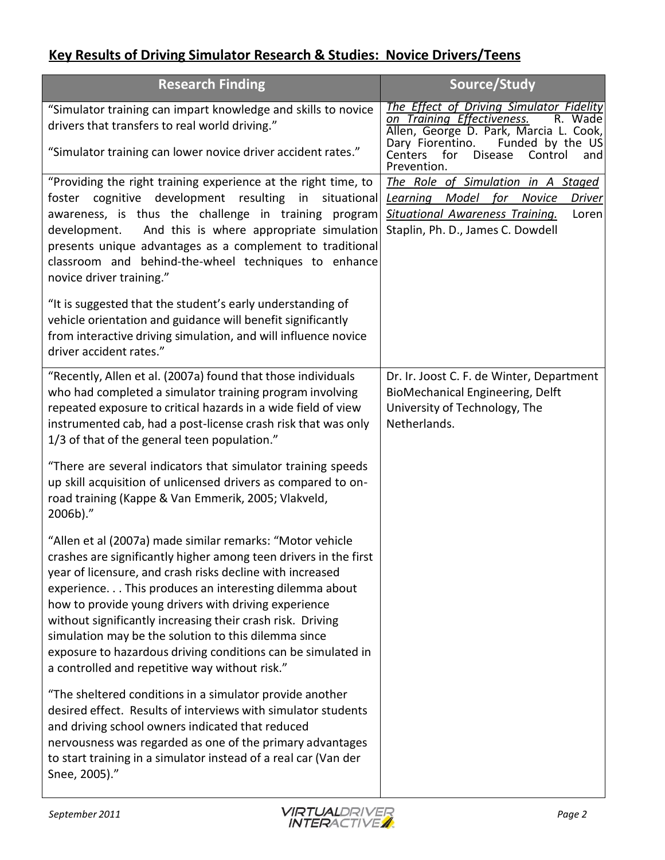## **Key Results of Driving Simulator Research & Studies: Novice Drivers/Teens**

| <b>Research Finding</b>                                                                                                                                                                                                                                                                                                                                                                                                                                                                                                                             | Source/Study                                                                                                                                                                |
|-----------------------------------------------------------------------------------------------------------------------------------------------------------------------------------------------------------------------------------------------------------------------------------------------------------------------------------------------------------------------------------------------------------------------------------------------------------------------------------------------------------------------------------------------------|-----------------------------------------------------------------------------------------------------------------------------------------------------------------------------|
| "Simulator training can impart knowledge and skills to novice<br>drivers that transfers to real world driving."                                                                                                                                                                                                                                                                                                                                                                                                                                     | The Effect of Driving Simulator Fidelity<br>on Training Effectiveness.<br>R. Wade<br>Allen, George D. Park, Marcia L. Cook,<br>Dary Fiorentino.<br>Funded by the US         |
| "Simulator training can lower novice driver accident rates."                                                                                                                                                                                                                                                                                                                                                                                                                                                                                        | Centers<br>Disease<br>for<br>Control<br>and<br>Prevention.                                                                                                                  |
| "Providing the right training experience at the right time, to<br>foster cognitive development resulting in<br>situational<br>awareness, is thus the challenge in training program<br>And this is where appropriate simulation<br>development.<br>presents unique advantages as a complement to traditional<br>classroom and behind-the-wheel techniques to enhance<br>novice driver training."                                                                                                                                                     | The Role of Simulation in A Staged<br>Learning Model for<br>Novice<br><b>Driver</b><br><b>Situational Awareness Training.</b><br>Loren<br>Staplin, Ph. D., James C. Dowdell |
| "It is suggested that the student's early understanding of<br>vehicle orientation and guidance will benefit significantly<br>from interactive driving simulation, and will influence novice<br>driver accident rates."                                                                                                                                                                                                                                                                                                                              |                                                                                                                                                                             |
| "Recently, Allen et al. (2007a) found that those individuals<br>who had completed a simulator training program involving<br>repeated exposure to critical hazards in a wide field of view<br>instrumented cab, had a post-license crash risk that was only<br>1/3 of that of the general teen population."                                                                                                                                                                                                                                          | Dr. Ir. Joost C. F. de Winter, Department<br>BioMechanical Engineering, Delft<br>University of Technology, The<br>Netherlands.                                              |
| "There are several indicators that simulator training speeds<br>up skill acquisition of unlicensed drivers as compared to on-<br>road training (Kappe & Van Emmerik, 2005; Vlakveld,<br>2006b)."                                                                                                                                                                                                                                                                                                                                                    |                                                                                                                                                                             |
| "Allen et al (2007a) made similar remarks: "Motor vehicle<br>crashes are significantly higher among teen drivers in the first<br>year of licensure, and crash risks decline with increased<br>experience This produces an interesting dilemma about<br>how to provide young drivers with driving experience<br>without significantly increasing their crash risk. Driving<br>simulation may be the solution to this dilemma since<br>exposure to hazardous driving conditions can be simulated in<br>a controlled and repetitive way without risk." |                                                                                                                                                                             |
| "The sheltered conditions in a simulator provide another<br>desired effect. Results of interviews with simulator students<br>and driving school owners indicated that reduced<br>nervousness was regarded as one of the primary advantages<br>to start training in a simulator instead of a real car (Van der<br>Snee, 2005)."                                                                                                                                                                                                                      |                                                                                                                                                                             |